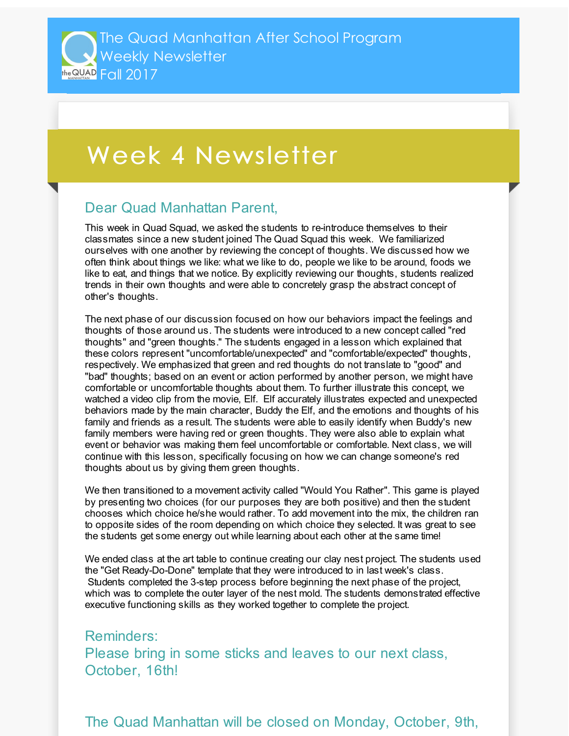## Week 4 Newsletter

## Dear Quad Manhattan Parent,

This week in Quad Squad, we asked the students to re-introduce themselves to their classmates since a new student joined The Quad Squad this week. We familiarized ourselves with one another by reviewing the concept of thoughts. We discussed how we often think about things we like: what we like to do, people we like to be around, foods we like to eat, and things that we notice. By explicitly reviewing our thoughts, students realized trends in their own thoughts and were able to concretely grasp the abstract concept of other's thoughts.

The next phase of our discussion focused on how our behaviors impact the feelings and thoughts of those around us. The students were introduced to a new concept called "red thoughts" and "green thoughts." The students engaged in a lesson which explained that these colors represent "uncomfortable/unexpected" and "comfortable/expected" thoughts, respectively. We emphasized that green and red thoughts do not translate to "good" and "bad" thoughts; based on an event or action performed by another person, we might have comfortable or uncomfortable thoughts about them. To further illustrate this concept, we watched a video clip from the movie, Elf. Elf accurately illustrates expected and unexpected behaviors made by the main character, Buddy the Elf, and the emotions and thoughts of his family and friends as a result. The students were able to easily identify when Buddy's new family members were having red or green thoughts. They were also able to explain what event or behavior was making them feel uncomfortable or comfortable. Next class, we will continue with this lesson, specifically focusing on how we can change someone's red thoughts about us by giving them green thoughts.

We then transitioned to a movement activity called "Would You Rather". This game is played by presenting two choices (for our purposes they are both positive) and then the student chooses which choice he/she would rather. To add movement into the mix, the children ran to opposite sides of the room depending on which choice they selected. It was great to see the students get some energy out while learning about each other at the same time!

We ended class at the art table to continue creating our clay nest project. The students used the "Get Ready-Do-Done" template that they were introduced to in last week's class. Students completed the 3-step process before beginning the next phase of the project, which was to complete the outer layer of the nest mold. The students demonstrated effective executive functioning skills as they worked together to complete the project.

Reminders: Please bring in some sticks and leaves to our next class, October, 16th!

The Quad Manhattan will be closed on Monday, October, 9th,